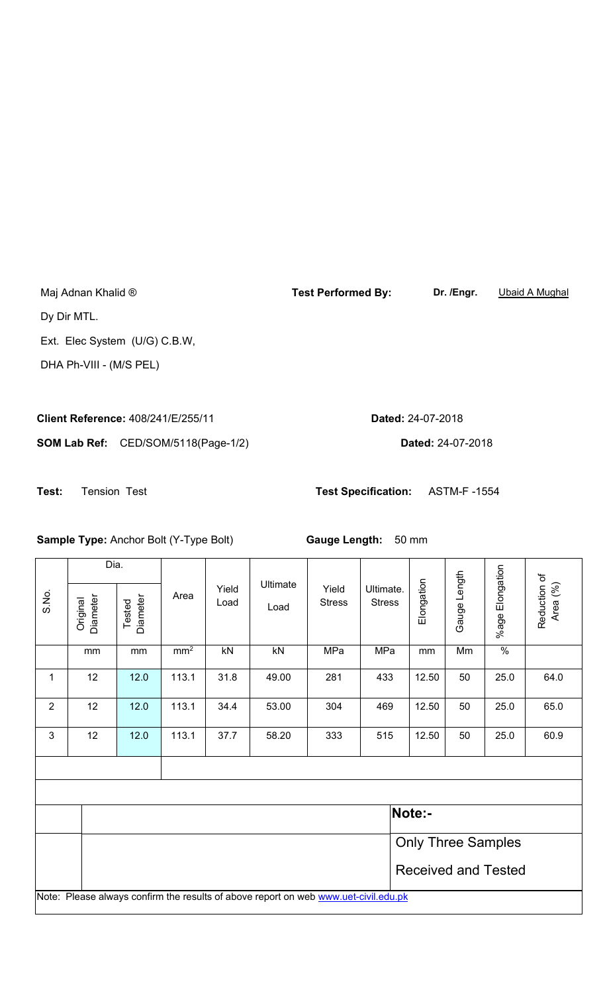Maj Adnan Khalid ® **Test Performed By: Dr. /Engr.** Ubaid A Mughal Dy Dir MTL. Ext. Elec System (U/G) C.B.W,

DHA Ph-VIII - (M/S PEL)

**Client Reference:** 408/241/E/255/11 **Dated:** 24-07-2018

**SOM Lab Ref:** CED/SOM/5118(Page-1/2) **Dated:** 24-07-2018

**Test:** Tension Test **Test Specification:** ASTM-F -1554

**Sample Type:** Anchor Bolt (Y-Type Bolt) **Gauge Length:** 50 mm

|                                                                                     | Dia.                      |                            |                 |               | Ultimate |                        |                            |            |              |                 |                          |  |  |
|-------------------------------------------------------------------------------------|---------------------------|----------------------------|-----------------|---------------|----------|------------------------|----------------------------|------------|--------------|-----------------|--------------------------|--|--|
| S.No.                                                                               | Diameter<br>Original      | Diameter<br>Tested         | Area            | Yield<br>Load | Load     | Yield<br><b>Stress</b> | Ultimate.<br><b>Stress</b> | Elongation | Gauge Length | %age Elongation | Reduction of<br>Area (%) |  |  |
|                                                                                     |                           |                            |                 |               |          |                        |                            |            |              |                 |                          |  |  |
|                                                                                     | mm                        | mm                         | mm <sup>2</sup> | kN            | kN       | MPa                    | <b>MPa</b>                 | mm         | Mm           | $\frac{0}{0}$   |                          |  |  |
| 1                                                                                   | 12                        | 12.0                       | 113.1           | 31.8          | 49.00    | 281                    | 433                        | 12.50      | 50           | 25.0            | 64.0                     |  |  |
| $\overline{2}$                                                                      | 12                        | 12.0                       | 113.1           | 34.4          | 53.00    | 304                    | 469                        | 12.50      | 50           | 25.0            | 65.0                     |  |  |
| $\mathfrak{S}$                                                                      | 12                        | 12.0                       | 113.1           | 37.7          | 58.20    | 333                    | 515                        | 12.50      | 50           | 25.0            | 60.9                     |  |  |
|                                                                                     |                           |                            |                 |               |          |                        |                            |            |              |                 |                          |  |  |
|                                                                                     |                           |                            |                 |               |          |                        |                            |            |              |                 |                          |  |  |
|                                                                                     | Note:-                    |                            |                 |               |          |                        |                            |            |              |                 |                          |  |  |
|                                                                                     | <b>Only Three Samples</b> |                            |                 |               |          |                        |                            |            |              |                 |                          |  |  |
|                                                                                     |                           | <b>Received and Tested</b> |                 |               |          |                        |                            |            |              |                 |                          |  |  |
| Note: Please always confirm the results of above report on web www.uet-civil.edu.pk |                           |                            |                 |               |          |                        |                            |            |              |                 |                          |  |  |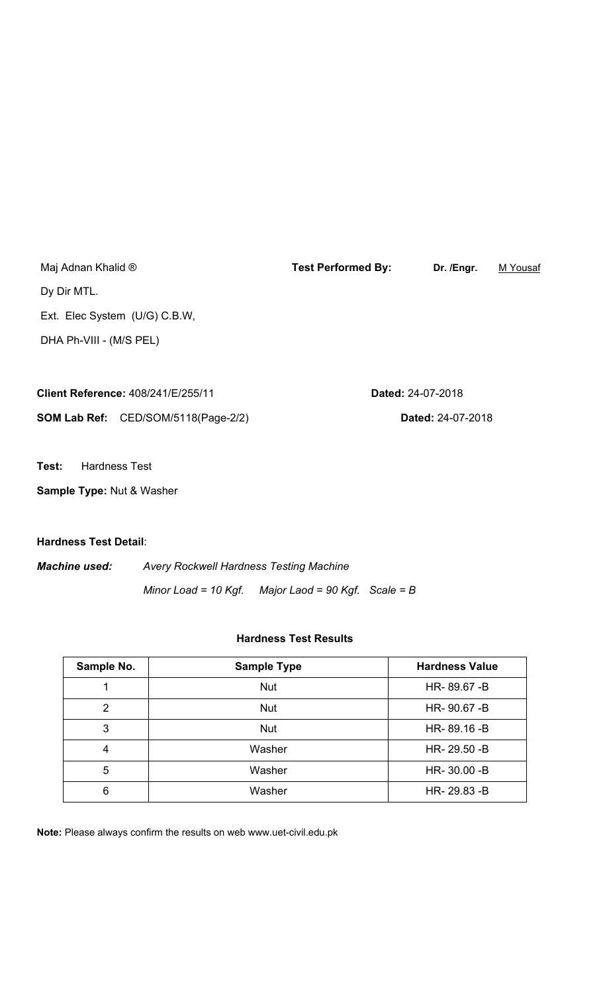Maj Adnan Khalid ® **Test Performed By: Dr. /Engr.** M Yousaf Dy Dir MTL. Ext. Elec System (U/G) C.B.W, DHA Ph-VIII - (M/S PEL)

| <b>Client Reference: 408/241/E/255/11</b>  | <b>Dated: 24-07-2018</b> |
|--------------------------------------------|--------------------------|
| <b>SOM Lab Ref:</b> CED/SOM/5118(Page-2/2) | <b>Dated: 24-07-2018</b> |

**Test:** Hardness Test

**Sample Type:** Nut & Washer

**Hardness Test Detail**:

*Machine used: Avery Rockwell Hardness Testing Machine Minor Load = 10 Kgf. Major Laod = 90 Kgf. Scale = B* 

## **Hardness Test Results**

| Sample No. | <b>Sample Type</b> | <b>Hardness Value</b> |
|------------|--------------------|-----------------------|
|            | <b>Nut</b>         | HR-89.67-B            |
| 2          | <b>Nut</b>         | HR-90.67-B            |
| 3          | <b>Nut</b>         | HR-89.16-B            |
| 4          | Washer             | HR-29.50 - B          |
| 5          | Washer             | HR-30.00 -B           |
| 6          | Washer             | HR-29.83-B            |

**Note:** Please always confirm the results on web www.uet-civil.edu.pk